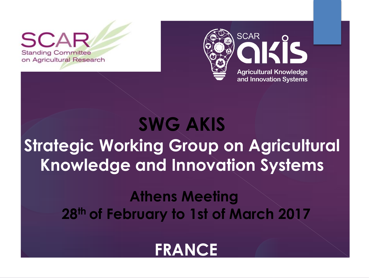$\mathbf{S}$ **Standing Committee** on Agricultural Research



# **SWG AKIS Strategic Working Group on Agricultural Knowledge and Innovation Systems**

## **Athens Meeting 28th of February to 1st of March 2017**

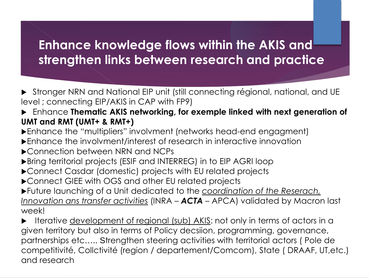### **Enhance knowledge flows within the AKIS and strengthen links between research and practice**

- Stronger NRN and National EIP unit (still connecting régional, national, and UE level ; connecting EIP/AKIS in CAP with FP9)
- Enhance **Thematic AKIS networking, for exemple linked with next generation of UMT and RMT (UMT+ & RMT+)**
- Enhance the "multipliers" involvment (networks head-end engagment)
- Enhance the involvment/interest of research in interactive innovation
- ▶ Connection between NRN and NCPs
- Bring territorial projects (ESIF and INTERREG) in to EIP AGRI loop
- ▶ Connect Casdar (domestic) projects with EU related projects
- ▶ Connect GIEE with OGS and other EU related projects
- Future launching of a Unit dedicated to the *coordination of the Reserach, Innovation ans transfer activities* (INRA – *ACTA* – APCA) validated by Macron last week!
- Iterative <u>development of regional (sub) AKIS</u>: not only in terms of actors in a given territory but also in terms of Policy decsiion, programming, governance, partnerships etc….. Strengthen steering activities with territorial actors ( Pole de competitivité, Collctivité (region / departement/Comcom), State ( DRAAF, UT,etc.) and research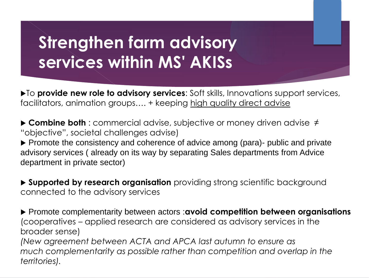## **Strengthen farm advisory services within MS' AKISs**

 $\blacktriangleright$  To **provide new role to advisory services**: Soft skills, Innovations support services, facilitators, animation groups.... + keeping high quality direct advise

 **Combine both** : commercial advise, subjective or money driven advise ≠ "objective", societal challenges advise)

Promote the consistency and coherence of advice among (para)- public and private advisory services ( already on its way by separating Sales departments from Advice department in private sector)

**Supported by research organisation** providing strong scientific background connected to the advisory services

 Promote complementarity between actors :**avoid competition between organisations**  (cooperatives – applied research are considered as advisory services in the broader sense)

*(New agreement between ACTA and APCA last autumn to ensure as much complementarity as possible rather than competition and overlap in the territories).*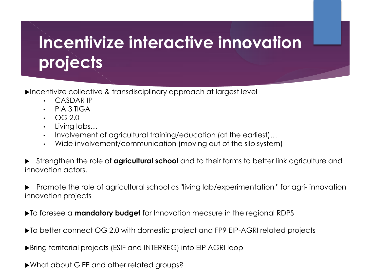# **Incentivize interactive innovation projects**

Incentivize collective & transdisciplinary approach at largest level

- CASDAR IP
- PIA 3 TIGA
- OG 2.0
- Living labs…
- Involvement of agricultural training/education (at the earliest)...
- Wide involvement/communication (moving out of the silo system)
- Strengthen the role of **agricultural school** and to their farms to better link agriculture and innovation actors.
- Promote the role of agricultural school as "living lab/experimentation " for agri- innovation innovation projects
- To foresee a **mandatory budget** for Innovation measure in the regional RDPS
- ▶ To better connect OG 2.0 with domestic project and FP9 EIP-AGRI related projects
- Bring territorial projects (ESIF and INTERREG) into EIP AGRI loop
- What about GIEE and other related groups?